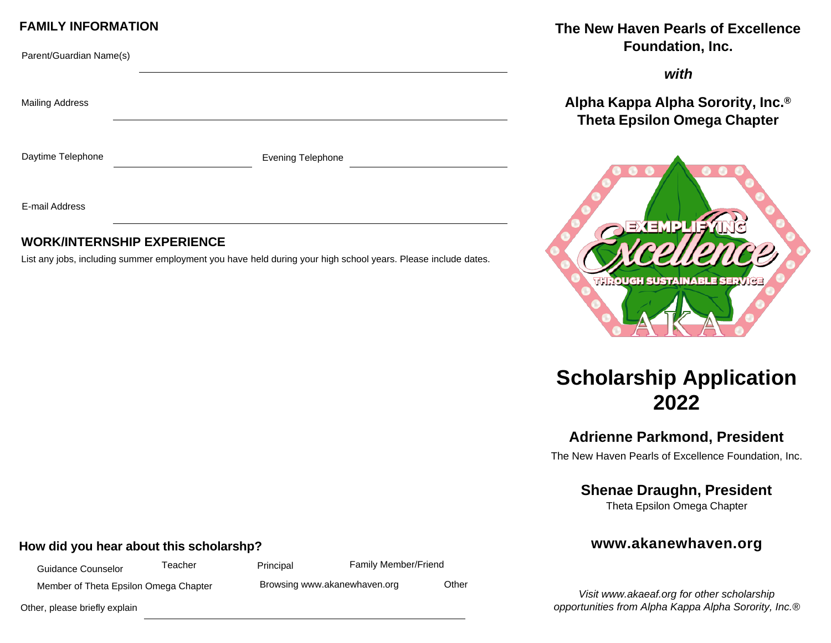#### **FAMILY INFORMATION**

| Parent/Guardian Name(s) |                   |
|-------------------------|-------------------|
| <b>Mailing Address</b>  |                   |
| Daytime Telephone       | Evening Telephone |
| E-mail Address          |                   |

### **WORK/INTERNSHIP EXPERIENCE**

List any jobs, including summer employment you have held during your high school years. Please include dates.

## The New Haven Pearls of Excellence Foundation, Inc.

with

Alpha Kappa Alpha Sorority, Inc.<sup>®</sup> **Theta Epsilon Omega Chapter** 



# **Scholarship Application** 2022

# **Adrienne Parkmond, President**

The New Haven Pearls of Excellence Foundation, Inc.

# **Shenae Draughn, President**

Theta Epsilon Omega Chapter

# www.akanewhaven.org

Visit www.akaeaf.org for other scholarship opportunities from Alpha Kappa Alpha Sorority, Inc.®

### How did you hear about this scholarshp?

Teacher **Guidance Counselor** Member of Theta Epsilon Omega Chapter

Principal

Family Member/Friend Browsing www.akanewhaven.org

Other

Other, please briefly explain